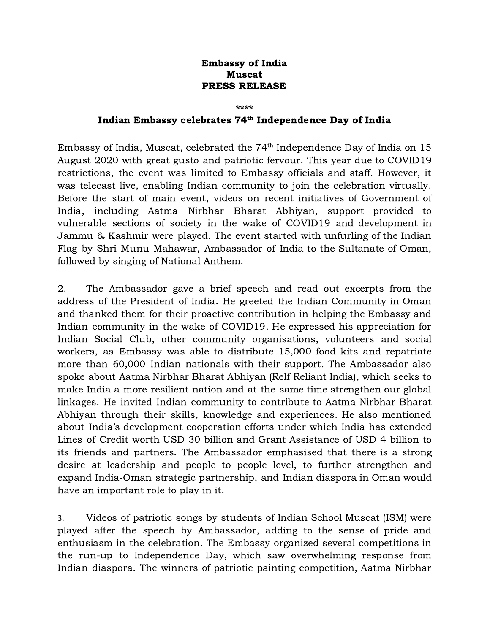## Embassy of India Muscat PRESS RELEASE

## \*\*\*\*

## Indian Embassy celebrates  $74^{\underline{\text{th}}}$  Independence Day of India

Embassy of India, Muscat, celebrated the  $74^{\text{th}}$  Independence Day of India on 15 August 2020 with great gusto and patriotic fervour. This year due to COVID19 restrictions, the event was limited to Embassy officials and staff. However, it was telecast live, enabling Indian community to join the celebration virtually. Before the start of main event, videos on recent initiatives of Government of India, including Aatma Nirbhar Bharat Abhiyan, support provided to vulnerable sections of society in the wake of COVID19 and development in Jammu & Kashmir were played. The event started with unfurling of the Indian Flag by Shri Munu Mahawar, Ambassador of India to the Sultanate of Oman, followed by singing of National Anthem.

2. The Ambassador gave a brief speech and read out excerpts from the address of the President of India. He greeted the Indian Community in Oman and thanked them for their proactive contribution in helping the Embassy and Indian community in the wake of COVID19. He expressed his appreciation for Indian Social Club, other community organisations, volunteers and social workers, as Embassy was able to distribute 15,000 food kits and repatriate more than 60,000 Indian nationals with their support. The Ambassador also spoke about Aatma Nirbhar Bharat Abhiyan (Relf Reliant India), which seeks to make India a more resilient nation and at the same time strengthen our global linkages. He invited Indian community to contribute to Aatma Nirbhar Bharat Abhiyan through their skills, knowledge and experiences. He also mentioned about India's development cooperation efforts under which India has extended Lines of Credit worth USD 30 billion and Grant Assistance of USD 4 billion to its friends and partners. The Ambassador emphasised that there is a strong desire at leadership and people to people level, to further strengthen and expand India-Oman strategic partnership, and Indian diaspora in Oman would have an important role to play in it.

3. Videos of patriotic songs by students of Indian School Muscat (ISM) were played after the speech by Ambassador, adding to the sense of pride and enthusiasm in the celebration. The Embassy organized several competitions in the run-up to Independence Day, which saw overwhelming response from Indian diaspora. The winners of patriotic painting competition, Aatma Nirbhar